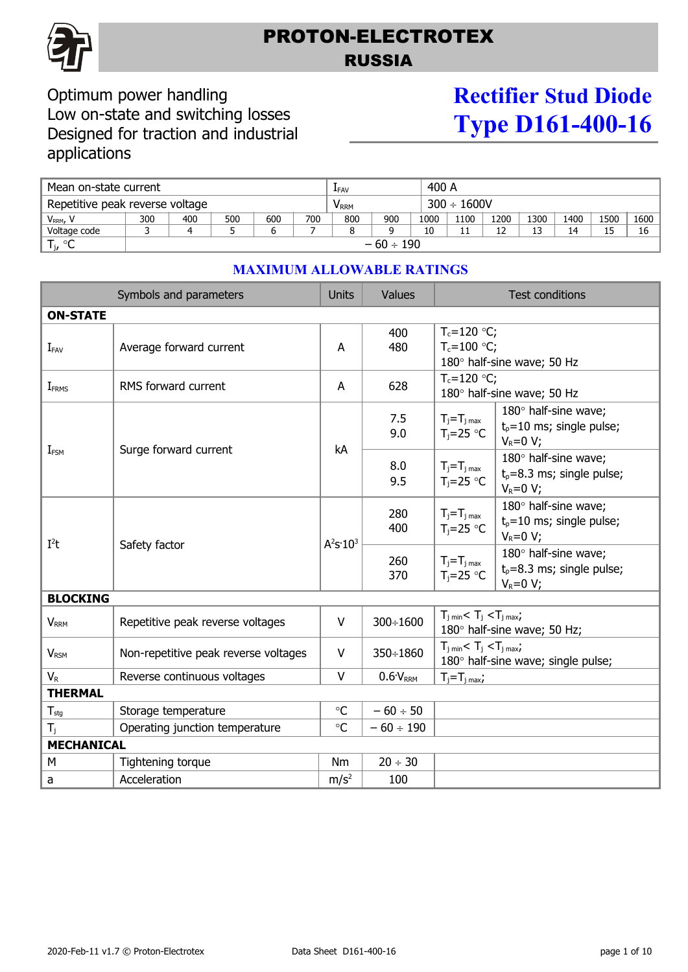

## PROTON-ELECTROTEX RUSSIA

### Optimum power handling Low on-state and switching losses Designed for traction and industrial applications

# **Rectifier Stud Diode Type D161-400-16**

| Mean on-state current           |                |     |     |     | LFAV                        |     |     | 400 A            |      |      |          |      |      |      |
|---------------------------------|----------------|-----|-----|-----|-----------------------------|-----|-----|------------------|------|------|----------|------|------|------|
| Repetitive peak reverse voltage |                |     |     |     | $\mathsf{V}_{\mathsf{RRM}}$ |     |     | $300 \div 1600V$ |      |      |          |      |      |      |
| V <sub>RRM</sub> , V            | 300            | 400 | 500 | 600 | 700                         | 800 | 900 | 1000             | 1100 | 1200 | 1300     | 1400 | 1500 | 1600 |
| Voltage code                    |                | Δ   |     |     |                             |     |     | 10               |      | 12   | 13<br>ر_ | 14   | 15   | 16   |
| $T_{j}$ , $^{\circ}$ C          | $-60 \div 190$ |     |     |     |                             |     |     |                  |      |      |          |      |      |      |

| Symbols and parameters   |                                      |                  | Values          | <b>Test conditions</b>                                                                |                                                                       |  |  |  |
|--------------------------|--------------------------------------|------------------|-----------------|---------------------------------------------------------------------------------------|-----------------------------------------------------------------------|--|--|--|
| <b>ON-STATE</b>          |                                      |                  |                 |                                                                                       |                                                                       |  |  |  |
| $I_{FAV}$                | Average forward current              | A                | 400<br>480      | $T_c = 120 °C$ ;<br>$T_c = 100 °C$ ;                                                  | 180° half-sine wave; 50 Hz                                            |  |  |  |
| <b>I</b> <sub>FRMS</sub> | RMS forward current                  | A                | 628             | $T_c = 120$ °C;<br>180° half-sine wave; 50 Hz                                         |                                                                       |  |  |  |
| I <sub>FSM</sub>         | Surge forward current                | kA               | 7.5<br>9.0      | $T_j = T_j$ <sub>max</sub><br>$T_i = 25$ °C                                           | 180° half-sine wave;<br>$t_0 = 10$ ms; single pulse;<br>$V_R=0 V;$    |  |  |  |
|                          |                                      |                  | 8.0<br>9.5      | $T_j = T_j$ <sub>max</sub><br>$T_i = 25$ °C                                           | 180° half-sine wave;<br>$t_0 = 8.3$ ms; single pulse;<br>$V_R = 0 V;$ |  |  |  |
| $I^2t$                   | Safety factor                        | $A^2S:10^3$      | 280<br>400      | $T_j = T_j$ <sub>max</sub><br>$T_i = 25$ °C                                           | 180° half-sine wave;<br>$t_p = 10$ ms; single pulse;<br>$V_R = 0 V;$  |  |  |  |
|                          |                                      |                  | 260<br>370      | $T_j = T_j$ <sub>max</sub><br>$T_i = 25$ °C                                           | 180° half-sine wave;<br>$t_p = 8.3$ ms; single pulse;<br>$V_R = 0 V;$ |  |  |  |
| <b>BLOCKING</b>          |                                      |                  |                 |                                                                                       |                                                                       |  |  |  |
| <b>V</b> <sub>RRM</sub>  | Repetitive peak reverse voltages     | V                | 300÷1600        | $T_{i,min}$ < $T_i$ < $T_{i,max}$ ;<br>180° half-sine wave; 50 Hz;                    |                                                                       |  |  |  |
| <b>V</b> <sub>RSM</sub>  | Non-repetitive peak reverse voltages | V                | $350 \div 1860$ | $T_{j \text{ min}} < T_j < T_{j \text{ max}}$ ;<br>180° half-sine wave; single pulse; |                                                                       |  |  |  |
| $V_{R}$                  | Reverse continuous voltages          | $\vee$           | $0.6V_{RRM}$    | $T_i = T_i$ <sub>max</sub> ;                                                          |                                                                       |  |  |  |
| <b>THERMAL</b>           |                                      |                  |                 |                                                                                       |                                                                       |  |  |  |
| $T_{\text{stg}}$         | Storage temperature                  | $\circ$ C        | $-60 \div 50$   |                                                                                       |                                                                       |  |  |  |
| $T_i$                    | Operating junction temperature       |                  | $-60 \div 190$  |                                                                                       |                                                                       |  |  |  |
| <b>MECHANICAL</b>        |                                      |                  |                 |                                                                                       |                                                                       |  |  |  |
| M                        | Tightening torque                    | Nm               | $20 \div 30$    |                                                                                       |                                                                       |  |  |  |
| a                        | Acceleration                         | m/s <sup>2</sup> | 100             |                                                                                       |                                                                       |  |  |  |

#### **MAXIMUM ALLOWABLE RATINGS**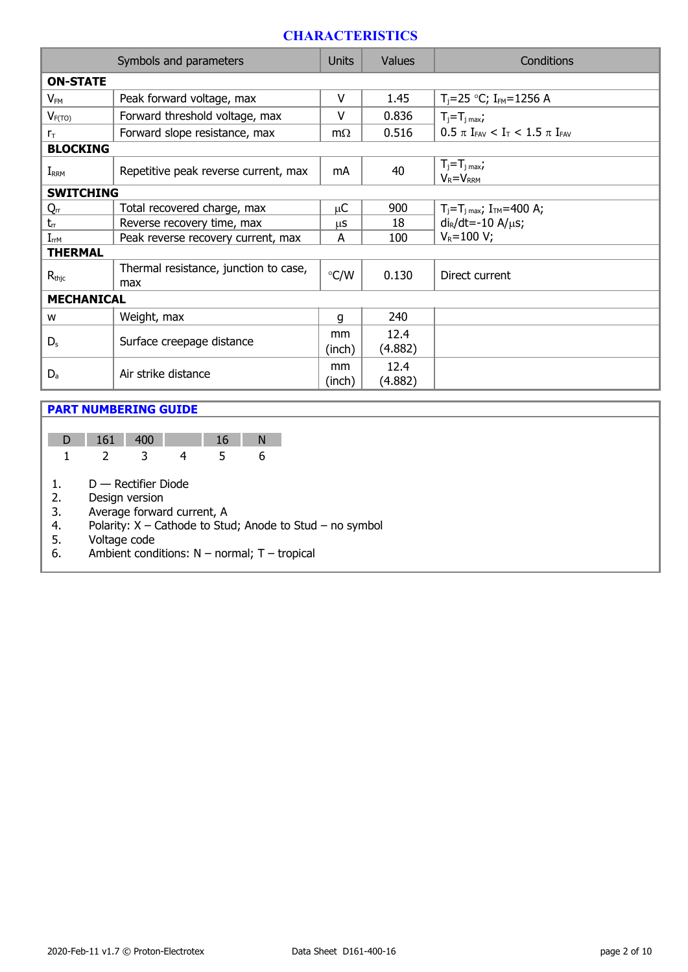#### **CHARACTERISTICS**

| Symbols and parameters |                                              |               | <b>Values</b>   | Conditions                                     |  |  |  |  |
|------------------------|----------------------------------------------|---------------|-----------------|------------------------------------------------|--|--|--|--|
| <b>ON-STATE</b>        |                                              |               |                 |                                                |  |  |  |  |
| $V_{FM}$               | Peak forward voltage, max                    | v             | 1.45            | $T_i = 25$ °C; I <sub>FM</sub> =1256 A         |  |  |  |  |
| $V_{F(TO)}$            | Forward threshold voltage, max               | $\vee$        | 0.836           | $T_j = T_j$ max;                               |  |  |  |  |
| $r_{\rm T}$            | Forward slope resistance, max                | $m\Omega$     | 0.516           | $0.5 \pi I_{FAV} < I_T < 1.5 \pi I_{FAV}$      |  |  |  |  |
| <b>BLOCKING</b>        |                                              |               |                 |                                                |  |  |  |  |
| $I_{RRM}$              | Repetitive peak reverse current, max         | mA            | 40              | $T_j = T_j$ max,<br>$V_R = V_{RRM}$            |  |  |  |  |
| <b>SWITCHING</b>       |                                              |               |                 |                                                |  |  |  |  |
| Qrr                    | Total recovered charge, max                  | μC            | 900             | $T_j = T_j$ <sub>max</sub> ; $I_{TM} = 400$ A; |  |  |  |  |
| $t_{rr}$               | Reverse recovery time, max                   | μS            | 18              | $di_R/dt = -10 A/\mu s$ ;                      |  |  |  |  |
| $I_{rrM}$              | Peak reverse recovery current, max           | A             | 100             | $V_R = 100 V;$                                 |  |  |  |  |
| <b>THERMAL</b>         |                                              |               |                 |                                                |  |  |  |  |
| $R_{\text{thic}}$      | Thermal resistance, junction to case,<br>max | $\degree$ C/W | 0.130           | Direct current                                 |  |  |  |  |
| <b>MECHANICAL</b>      |                                              |               |                 |                                                |  |  |  |  |
| W                      | Weight, max                                  | q             | 240             |                                                |  |  |  |  |
| $D_{s}$                | Surface creepage distance                    | mm<br>(inch)  | 12.4<br>(4.882) |                                                |  |  |  |  |
| $D_{a}$                | Air strike distance                          |               | 12.4<br>(4.882) |                                                |  |  |  |  |

#### **PART NUMBERING GUIDE**

| $D$ 161 | - 400 |  |  |
|---------|-------|--|--|
|         |       |  |  |

1. D — Rectifier Diode

2. Design version<br>3. Average forwar

3. Average forward current, A<br>4. Polarity:  $X -$ Cathode to Stu

4. Polarity:  $X -$  Cathode to Stud; Anode to Stud – no symbol 5. Voltage code

5. Voltage code

6. Ambient conditions:  $N -$  normal; T – tropical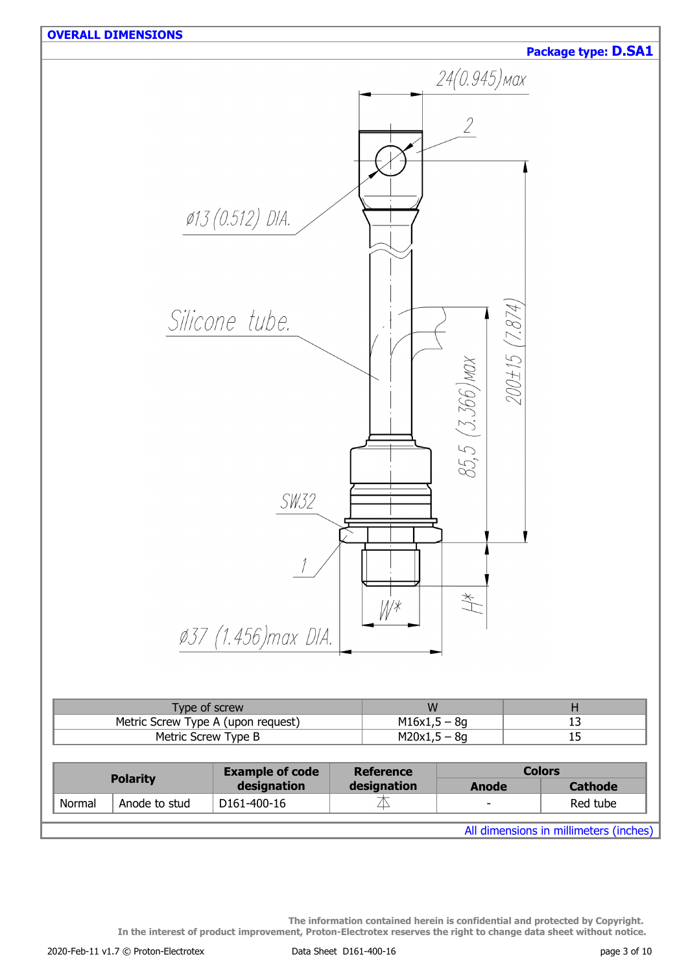

All dimensions in millimeters (inches)

**The information contained herein is confidential and protected by Copyright. In the interest of product improvement, Proton-Electrotex reserves the right to change data sheet without notice.**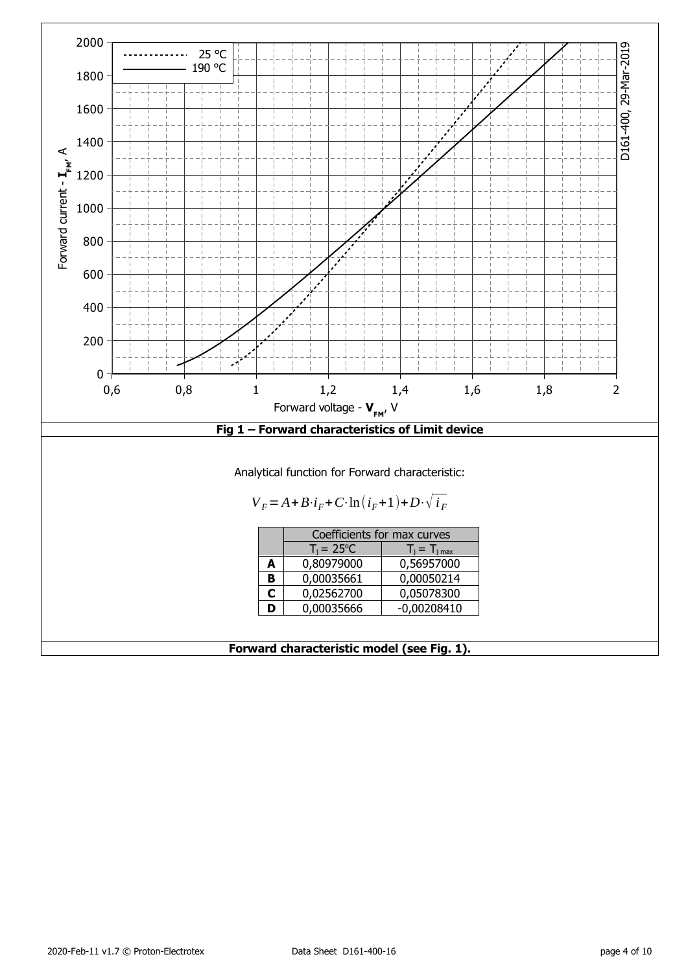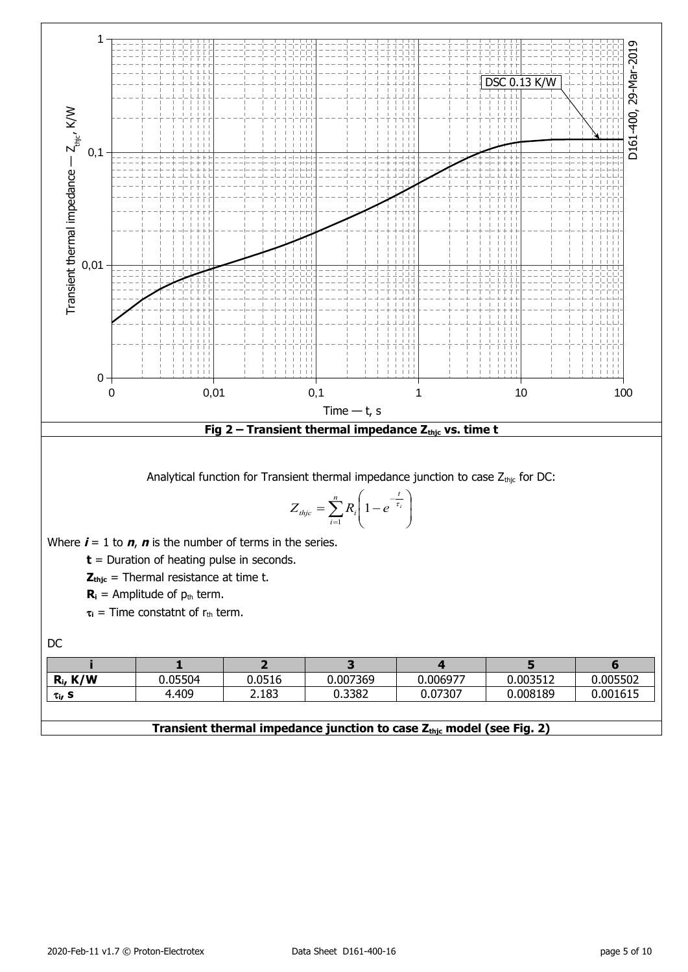

#### **Transient thermal impedance junction to case Zthjc model (see Fig. 2)**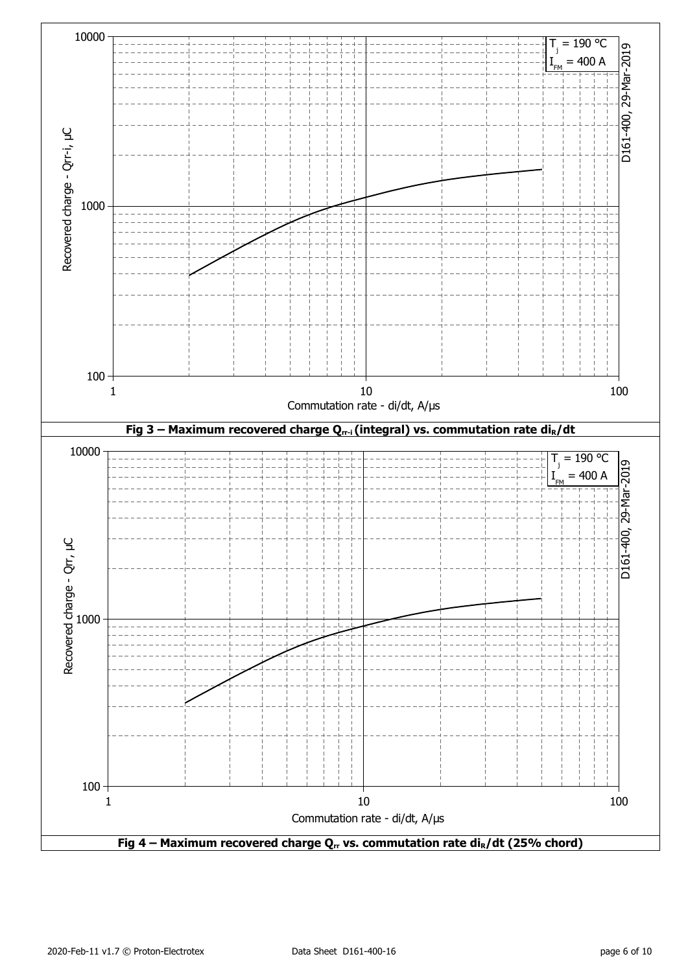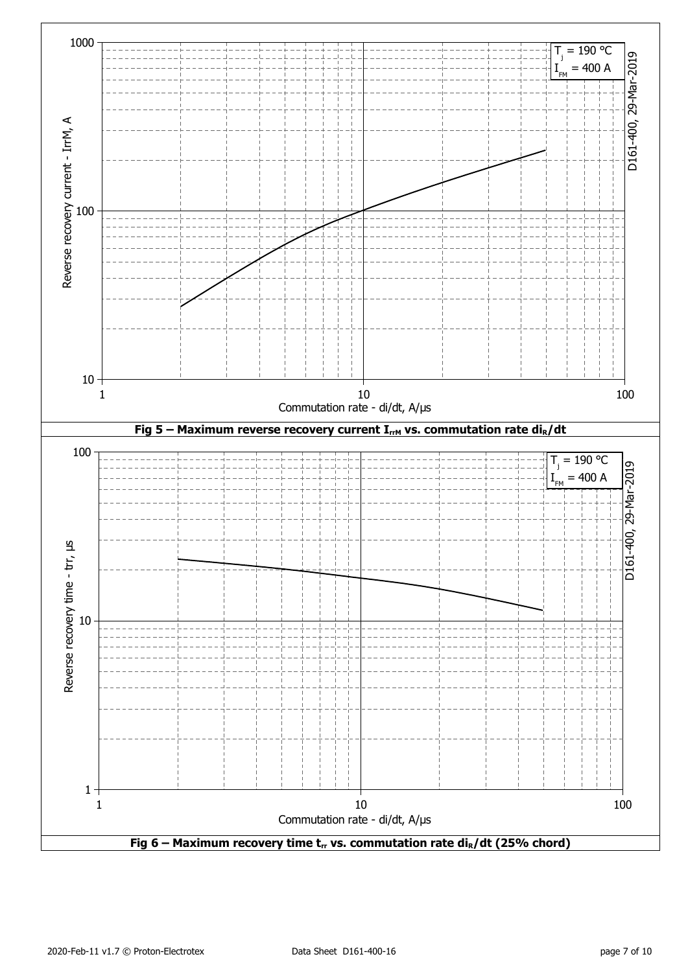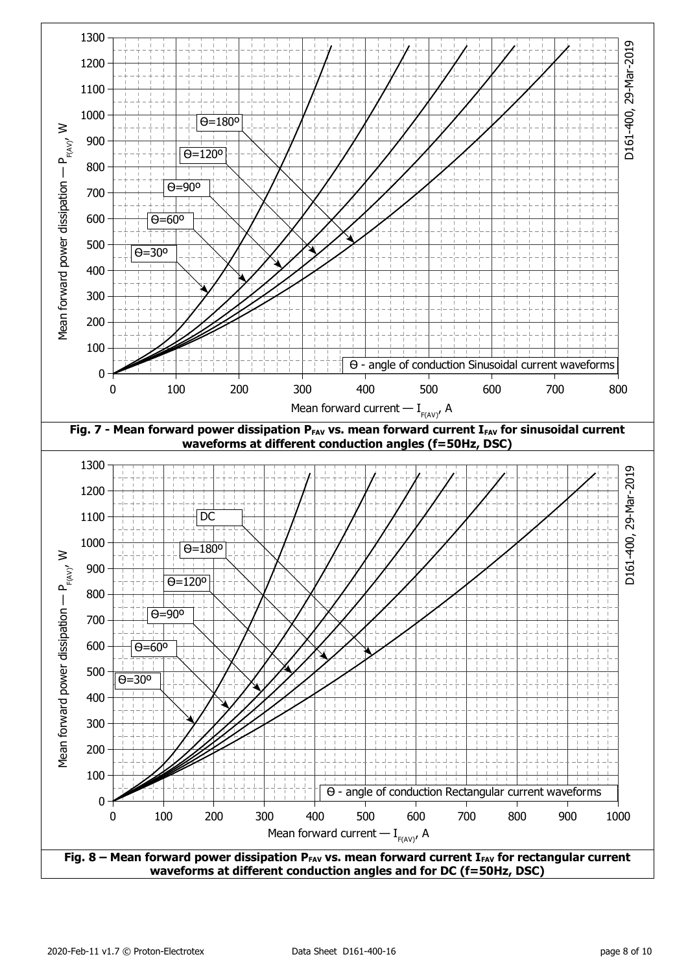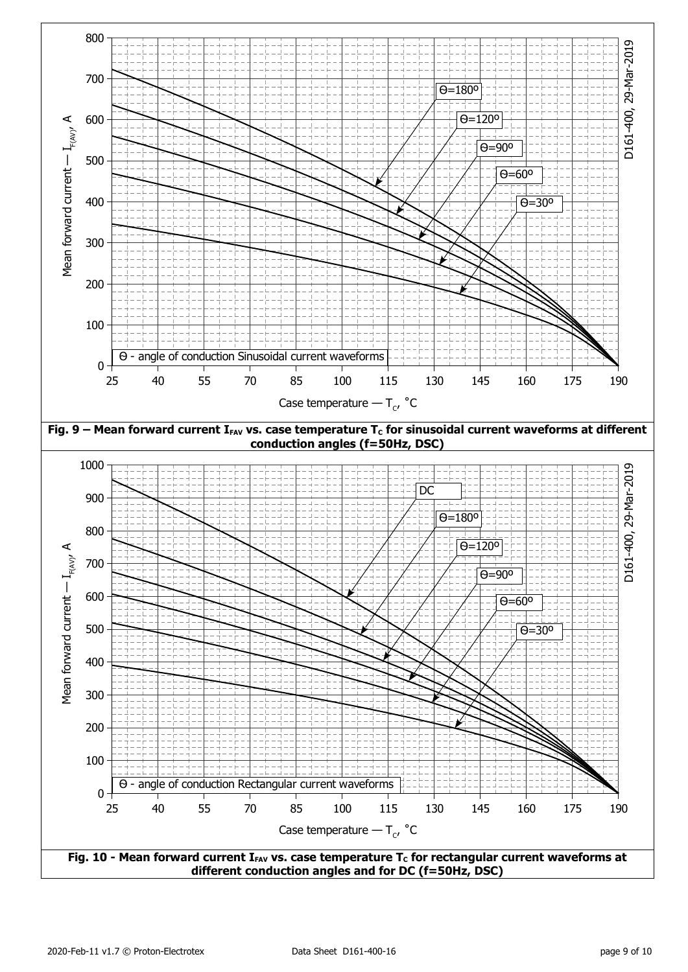